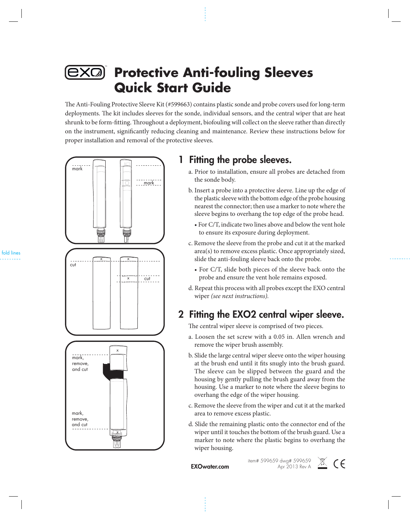

# **Protective Anti-fouling Sleeves Quick Start Guide**

The Anti-Fouling Protective Sleeve Kit (#599663) contains plastic sonde and probe covers used for long-term deployments. The kit includes sleeves for the sonde, individual sensors, and the central wiper that are heat shrunk to be form-fitting. Throughout a deployment, biofouling will collect on the sleeve rather than directly on the instrument, significantly reducing cleaning and maintenance. Review these instructions below for proper installation and removal of the protective sleeves.



### 1 Fitting the probe sleeves.

- a. Prior to installation, ensure all probes are detached from the sonde body.
- b. Insert a probe into a protective sleeve. Line up the edge of the plastic sleeve with the bottom edge of the probe housing nearest the connector; then use a marker to note where the sleeve begins to overhang the top edge of the probe head.
	- For C/T, indicate two lines above and below the vent hole to ensure its exposure during deployment.
- c. Remove the sleeve from the probe and cut it at the marked area(s) to remove excess plastic. Once appropriately sized, slide the anti-fouling sleeve back onto the probe.
	- For C/T, slide both pieces of the sleeve back onto the probe and ensure the vent hole remains exposed.
- d. Repeat this process with all probes except the EXO central wiper *(see next instructions).*

#### 2 Fitting the EXO2 central wiper sleeve.

The central wiper sleeve is comprised of two pieces.

- a. Loosen the set screw with a 0.05 in. Allen wrench and remove the wiper brush assembly.
- b. Slide the large central wiper sleeve onto the wiper housing at the brush end until it fits snugly into the brush guard. The sleeve can be slipped between the guard and the housing by gently pulling the brush guard away from the housing. Use a marker to note where the sleeve begins to overhang the edge of the wiper housing.
- c. Remove the sleeve from the wiper and cut it at the marked area to remove excess plastic.
- d. Slide the remaining plastic onto the connector end of the wiper until it touches the bottom of the brush guard. Use a marker to note where the plastic begins to overhang the wiper housing.